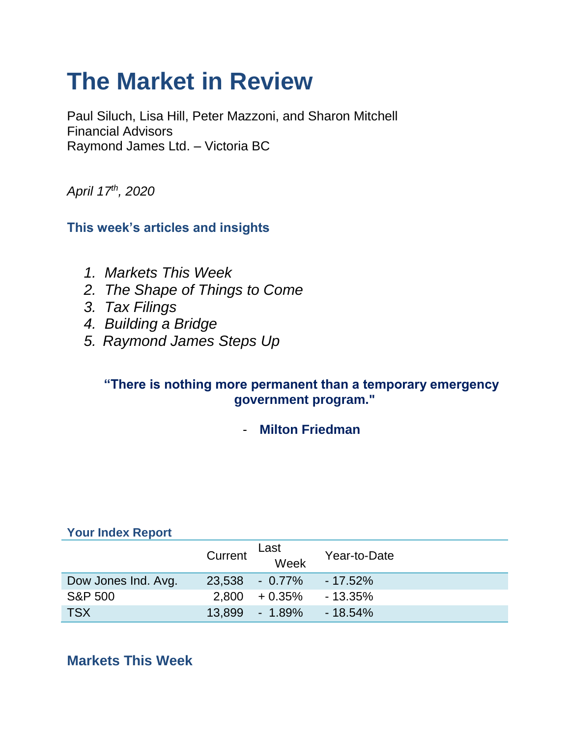# **The Market in Review**

Paul Siluch, Lisa Hill, Peter Mazzoni, and Sharon Mitchell Financial Advisors Raymond James Ltd. – Victoria BC

*April 17th, 2020*

**This week's articles and insights**

- *1. Markets This Week*
- *2. The Shape of Things to Come*
- *3. Tax Filings*
- *4. Building a Bridge*
- *5. Raymond James Steps Up*

### **"There is nothing more permanent than a temporary emergency government program."**

- **Milton Friedman**

| <b>Your Index Report</b> |         |                |              |
|--------------------------|---------|----------------|--------------|
|                          | Current | Last<br>Week   | Year-to-Date |
| Dow Jones Ind. Avg.      |         | 23,538 - 0.77% | $-17.52\%$   |
| <b>S&amp;P 500</b>       | 2,800   | $+0.35\%$      | $-13.35\%$   |
| <b>TSX</b>               | 13.899  | $-1.89\%$      | $-18.54%$    |

# **Markets This Week**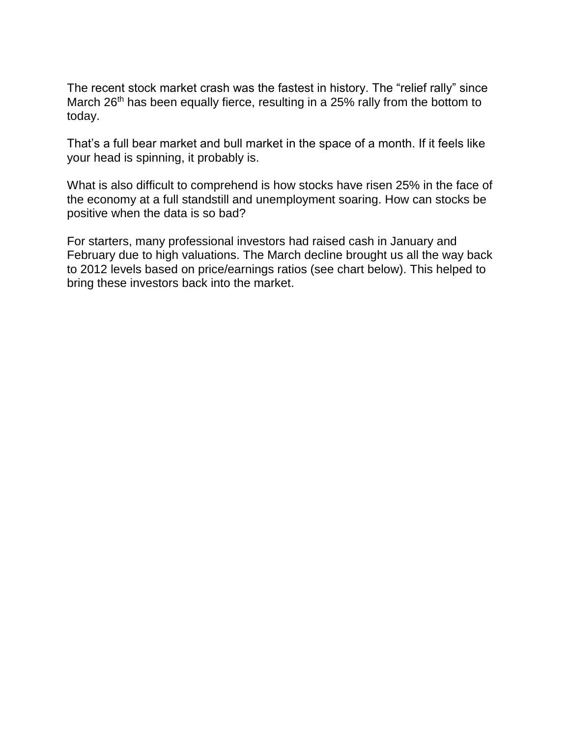The recent stock market crash was the fastest in history. The "relief rally" since March 26<sup>th</sup> has been equally fierce, resulting in a 25% rally from the bottom to today.

That's a full bear market and bull market in the space of a month. If it feels like your head is spinning, it probably is.

What is also difficult to comprehend is how stocks have risen 25% in the face of the economy at a full standstill and unemployment soaring. How can stocks be positive when the data is so bad?

For starters, many professional investors had raised cash in January and February due to high valuations. The March decline brought us all the way back to 2012 levels based on price/earnings ratios (see chart below). This helped to bring these investors back into the market.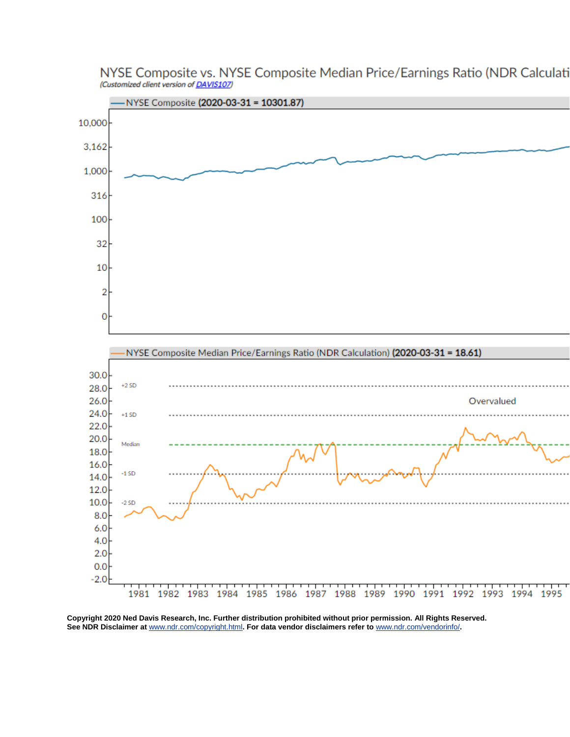

NYSE Composite vs. NYSE Composite Median Price/Earnings Ratio (NDR Calculati (Customized client version of DAVIS107)

**Copyright 2020 Ned Davis Research, Inc. Further distribution prohibited without prior permission. All Rights Reserved. See NDR Disclaimer at** [www.ndr.com/copyright.html](https://urldefense.proofpoint.com/v2/url?u=http-3A__www.ndr.com_copyright.html&d=DwMGaQ&c=K3dQCUGiI1B95NJ6cl3GoyhMW2dvBOfimZA-83UXll0&r=_6MBBSGYsFznIBwslhTiqBKEz4pHUCTd_9tbh_EpUMY&m=xQizXTZHf0MerhqvVo0-7JJSu_NViHTRj2Ui-kGBU0A&s=_SR_u2OSO-zAZwB8lwU65Xyr_fQ9cm23BCFt4_ErAhE&e=)**. For data vendor disclaimers refer to** [www.ndr.com/vendorinfo/](https://urldefense.proofpoint.com/v2/url?u=http-3A__www.ndr.com_vendorinfo_&d=DwMGaQ&c=K3dQCUGiI1B95NJ6cl3GoyhMW2dvBOfimZA-83UXll0&r=_6MBBSGYsFznIBwslhTiqBKEz4pHUCTd_9tbh_EpUMY&m=xQizXTZHf0MerhqvVo0-7JJSu_NViHTRj2Ui-kGBU0A&s=J2OeZoQ6e7VkNx3LUtJLyr6KE9e_OWbd_x67LQ3Fm8s&e=)**.**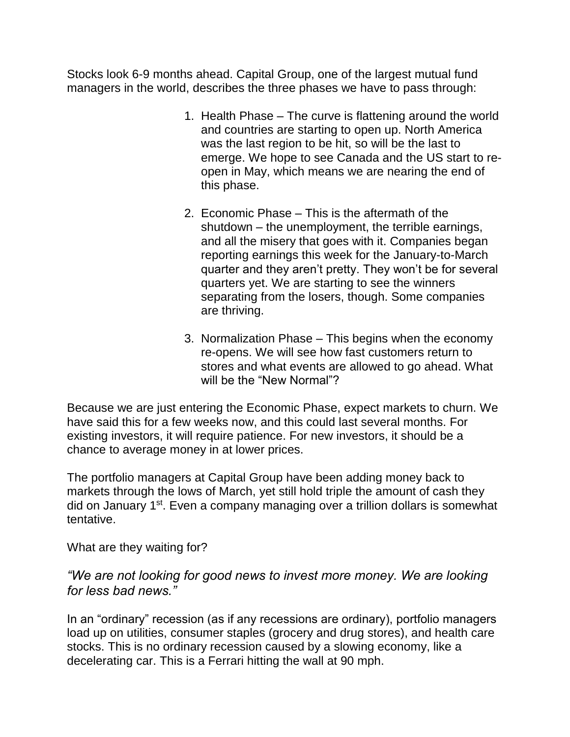Stocks look 6-9 months ahead. Capital Group, one of the largest mutual fund managers in the world, describes the three phases we have to pass through:

- 1. Health Phase The curve is flattening around the world and countries are starting to open up. North America was the last region to be hit, so will be the last to emerge. We hope to see Canada and the US start to reopen in May, which means we are nearing the end of this phase.
- 2. Economic Phase This is the aftermath of the shutdown – the unemployment, the terrible earnings, and all the misery that goes with it. Companies began reporting earnings this week for the January-to-March quarter and they aren't pretty. They won't be for several quarters yet. We are starting to see the winners separating from the losers, though. Some companies are thriving.
- 3. Normalization Phase This begins when the economy re-opens. We will see how fast customers return to stores and what events are allowed to go ahead. What will be the "New Normal"?

Because we are just entering the Economic Phase, expect markets to churn. We have said this for a few weeks now, and this could last several months. For existing investors, it will require patience. For new investors, it should be a chance to average money in at lower prices.

The portfolio managers at Capital Group have been adding money back to markets through the lows of March, yet still hold triple the amount of cash they did on January 1<sup>st</sup>. Even a company managing over a trillion dollars is somewhat tentative.

What are they waiting for?

#### *"We are not looking for good news to invest more money. We are looking for less bad news."*

In an "ordinary" recession (as if any recessions are ordinary), portfolio managers load up on utilities, consumer staples (grocery and drug stores), and health care stocks. This is no ordinary recession caused by a slowing economy, like a decelerating car. This is a Ferrari hitting the wall at 90 mph.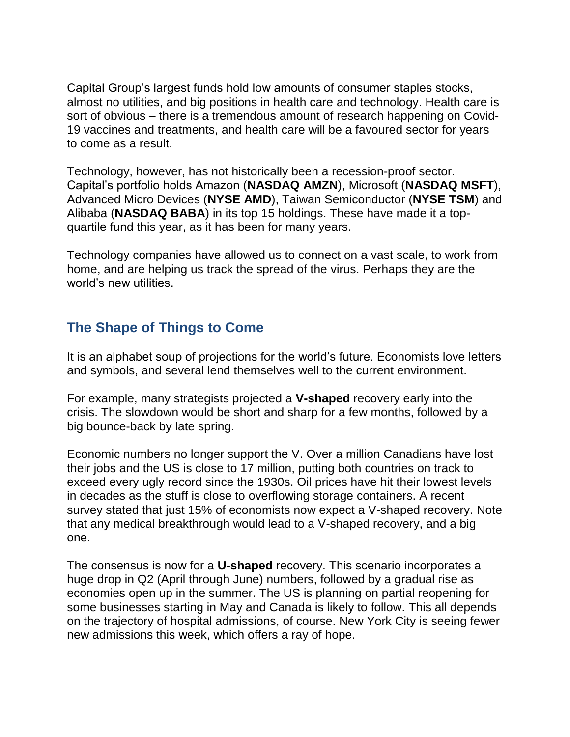Capital Group's largest funds hold low amounts of consumer staples stocks, almost no utilities, and big positions in health care and technology. Health care is sort of obvious – there is a tremendous amount of research happening on Covid-19 vaccines and treatments, and health care will be a favoured sector for years to come as a result.

Technology, however, has not historically been a recession-proof sector. Capital's portfolio holds Amazon (**NASDAQ AMZN**), Microsoft (**NASDAQ MSFT**), Advanced Micro Devices (**NYSE AMD**), Taiwan Semiconductor (**NYSE TSM**) and Alibaba (**NASDAQ BABA**) in its top 15 holdings. These have made it a topquartile fund this year, as it has been for many years.

Technology companies have allowed us to connect on a vast scale, to work from home, and are helping us track the spread of the virus. Perhaps they are the world's new utilities.

## **The Shape of Things to Come**

It is an alphabet soup of projections for the world's future. Economists love letters and symbols, and several lend themselves well to the current environment.

For example, many strategists projected a **V-shaped** recovery early into the crisis. The slowdown would be short and sharp for a few months, followed by a big bounce-back by late spring.

Economic numbers no longer support the V. Over a million Canadians have lost their jobs and the US is close to 17 million, putting both countries on track to exceed every ugly record since the 1930s. Oil prices have hit their lowest levels in decades as the stuff is close to overflowing storage containers. A recent survey stated that just 15% of economists now expect a V-shaped recovery. Note that any medical breakthrough would lead to a V-shaped recovery, and a big one.

The consensus is now for a **U-shaped** recovery. This scenario incorporates a huge drop in Q2 (April through June) numbers, followed by a gradual rise as economies open up in the summer. The US is planning on partial reopening for some businesses starting in May and Canada is likely to follow. This all depends on the trajectory of hospital admissions, of course. New York City is seeing fewer new admissions this week, which offers a ray of hope.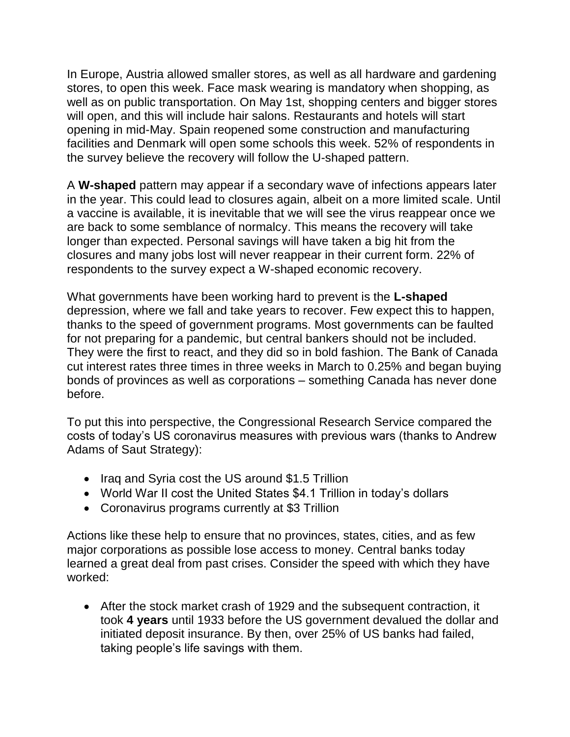In Europe, Austria allowed smaller stores, as well as all hardware and gardening stores, to open this week. Face mask wearing is mandatory when shopping, as well as on public transportation. On May 1st, shopping centers and bigger stores will open, and this will include hair salons. Restaurants and hotels will start opening in mid-May. Spain reopened some construction and manufacturing facilities and Denmark will open some schools this week. 52% of respondents in the survey believe the recovery will follow the U-shaped pattern.

A **W-shaped** pattern may appear if a secondary wave of infections appears later in the year. This could lead to closures again, albeit on a more limited scale. Until a vaccine is available, it is inevitable that we will see the virus reappear once we are back to some semblance of normalcy. This means the recovery will take longer than expected. Personal savings will have taken a big hit from the closures and many jobs lost will never reappear in their current form. 22% of respondents to the survey expect a W-shaped economic recovery.

What governments have been working hard to prevent is the **L-shaped** depression, where we fall and take years to recover. Few expect this to happen, thanks to the speed of government programs. Most governments can be faulted for not preparing for a pandemic, but central bankers should not be included. They were the first to react, and they did so in bold fashion. The Bank of Canada cut interest rates three times in three weeks in March to 0.25% and began buying bonds of provinces as well as corporations – something Canada has never done before.

To put this into perspective, the Congressional Research Service compared the costs of today's US coronavirus measures with previous wars (thanks to Andrew Adams of Saut Strategy):

- Iraq and Syria cost the US around \$1.5 Trillion
- World War II cost the United States \$4.1 Trillion in today's dollars
- Coronavirus programs currently at \$3 Trillion

Actions like these help to ensure that no provinces, states, cities, and as few major corporations as possible lose access to money. Central banks today learned a great deal from past crises. Consider the speed with which they have worked:

 After the stock market crash of 1929 and the subsequent contraction, it took **4 years** until 1933 before the US government devalued the dollar and initiated deposit insurance. By then, over 25% of US banks had failed, taking people's life savings with them.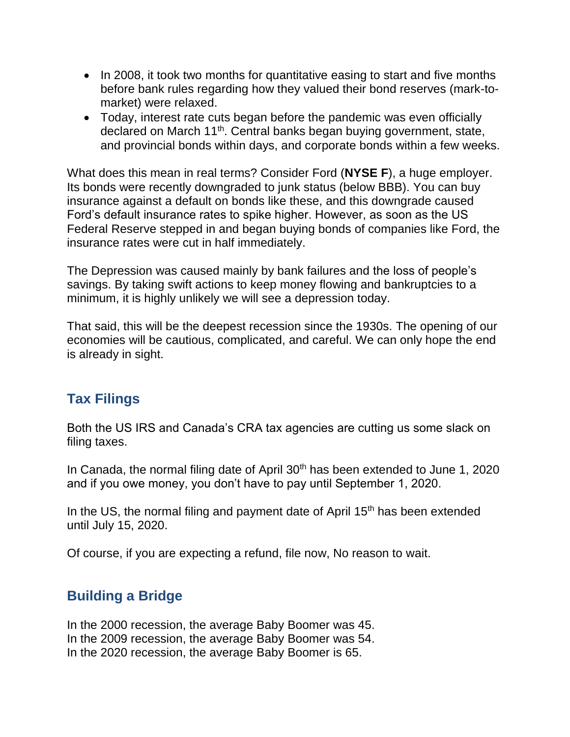- In 2008, it took two months for quantitative easing to start and five months before bank rules regarding how they valued their bond reserves (mark-tomarket) were relaxed.
- Today, interest rate cuts began before the pandemic was even officially declared on March 11<sup>th</sup>. Central banks began buying government, state, and provincial bonds within days, and corporate bonds within a few weeks.

What does this mean in real terms? Consider Ford (**NYSE F**), a huge employer. Its bonds were recently downgraded to junk status (below BBB). You can buy insurance against a default on bonds like these, and this downgrade caused Ford's default insurance rates to spike higher. However, as soon as the US Federal Reserve stepped in and began buying bonds of companies like Ford, the insurance rates were cut in half immediately.

The Depression was caused mainly by bank failures and the loss of people's savings. By taking swift actions to keep money flowing and bankruptcies to a minimum, it is highly unlikely we will see a depression today.

That said, this will be the deepest recession since the 1930s. The opening of our economies will be cautious, complicated, and careful. We can only hope the end is already in sight.

# **Tax Filings**

Both the US IRS and Canada's CRA tax agencies are cutting us some slack on filing taxes.

In Canada, the normal filing date of April 30<sup>th</sup> has been extended to June 1, 2020 and if you owe money, you don't have to pay until September 1, 2020.

In the US, the normal filing and payment date of April 15<sup>th</sup> has been extended until July 15, 2020.

Of course, if you are expecting a refund, file now, No reason to wait.

## **Building a Bridge**

In the 2000 recession, the average Baby Boomer was 45. In the 2009 recession, the average Baby Boomer was 54. In the 2020 recession, the average Baby Boomer is 65.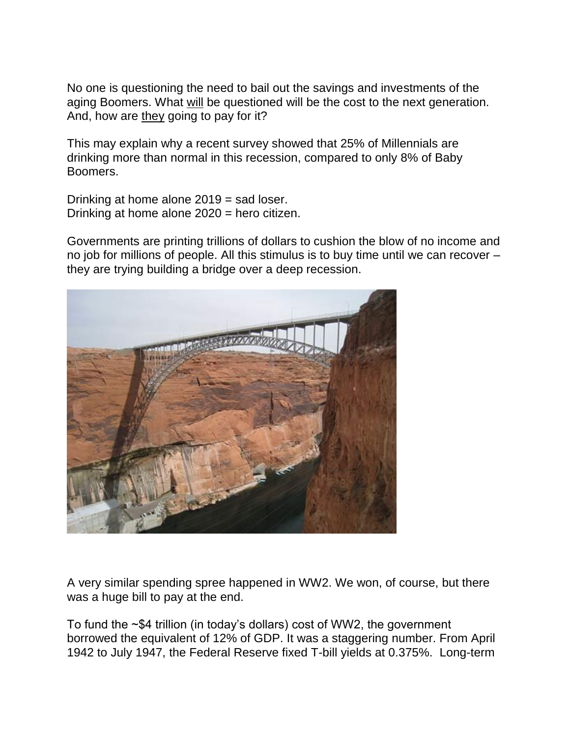No one is questioning the need to bail out the savings and investments of the aging Boomers. What will be questioned will be the cost to the next generation. And, how are they going to pay for it?

This may explain why a recent survey showed that 25% of Millennials are drinking more than normal in this recession, compared to only 8% of Baby Boomers.

Drinking at home alone 2019 = sad loser. Drinking at home alone 2020 = hero citizen.

Governments are printing trillions of dollars to cushion the blow of no income and no job for millions of people. All this stimulus is to buy time until we can recover – they are trying building a bridge over a deep recession.



A very similar spending spree happened in WW2. We won, of course, but there was a huge bill to pay at the end.

To fund the ~\$4 trillion (in today's dollars) cost of WW2, the government borrowed the equivalent of 12% of GDP. It was a staggering number. From April 1942 to July 1947, the Federal Reserve fixed T-bill yields at 0.375%. Long-term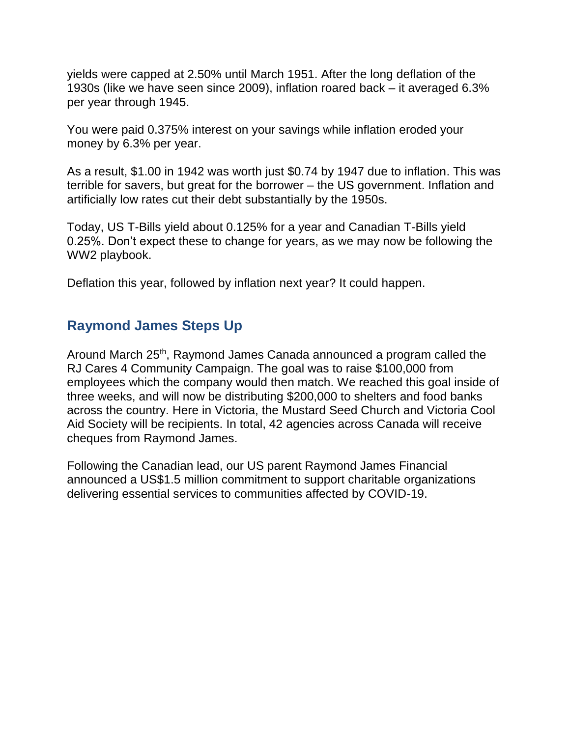yields were capped at 2.50% until March 1951. After the long deflation of the 1930s (like we have seen since 2009), inflation roared back – it averaged 6.3% per year through 1945.

You were paid 0.375% interest on your savings while inflation eroded your money by 6.3% per year.

As a result, \$1.00 in 1942 was worth just \$0.74 by 1947 due to inflation. This was terrible for savers, but great for the borrower – the US government. Inflation and artificially low rates cut their debt substantially by the 1950s.

Today, US T-Bills yield about 0.125% for a year and Canadian T-Bills yield 0.25%. Don't expect these to change for years, as we may now be following the WW2 playbook.

Deflation this year, followed by inflation next year? It could happen.

# **Raymond James Steps Up**

Around March 25<sup>th</sup>, Raymond James Canada announced a program called the RJ Cares 4 Community Campaign. The goal was to raise \$100,000 from employees which the company would then match. We reached this goal inside of three weeks, and will now be distributing \$200,000 to shelters and food banks across the country. Here in Victoria, the Mustard Seed Church and Victoria Cool Aid Society will be recipients. In total, 42 agencies across Canada will receive cheques from Raymond James.

Following the Canadian lead, our US parent Raymond James Financial announced a US\$1.5 million commitment to support charitable organizations delivering essential services to communities affected by COVID-19.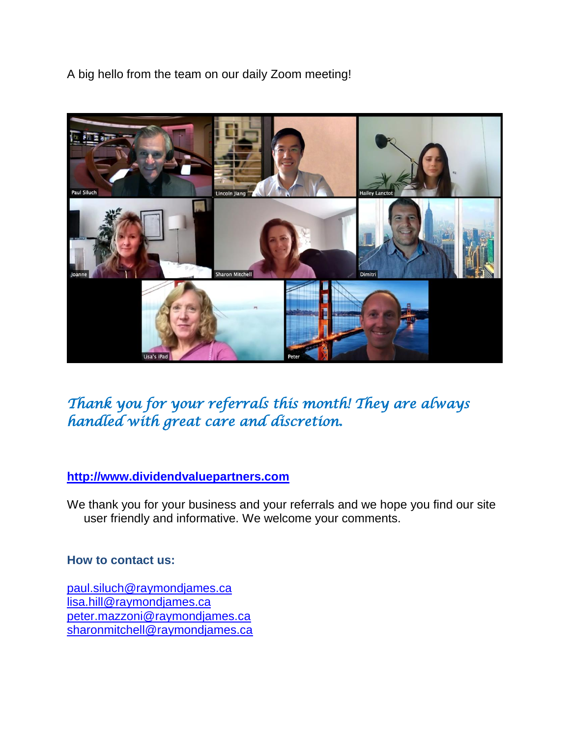A big hello from the team on our daily Zoom meeting!



*Thank you for your referrals this month! They are always handled with great care and discretion.* 

#### **[http://www.dividendvaluepartners.com](https://urldefense.proofpoint.com/v2/url?u=http-3A__www.dividendvaluepartners.com&d=DwMFAw&c=K3dQCUGiI1B95NJ6cl3GoyhMW2dvBOfimZA-83UXll0&r=_6MBBSGYsFznIBwslhTiqBKEz4pHUCTd_9tbh_EpUMY&m=scBAtuMDuWZwK1IVr5YXjdB6aRS-faGHAMq3jOn6sJU&s=enZqe4ZgcjH_33x5dT-vZq9A37d4AhNkXvjc6AbmYww&e=)**

We thank you for your business and your referrals and we hope you find our site user friendly and informative. We welcome your comments.

#### **How to contact us:**

[paul.siluch@raymondjames.ca](https://owa-kel.raymondjames.ca/owa/redir.aspx?SURL=z0BxOCXDlQ-Aad1f_a9igaARxm5Rd1VXE7UcmD4mZ3IZiacj7DPTCG0AYQBpAGwAdABvADoAcABhAHUAbAAuAHMAaQBsAHUAYwBoAEAAcgBhAHkAbQBvAG4AZABqAGEAbQBlAHMALgBjAGEA&URL=mailto%3apaul.siluch%40raymondjames.ca) [lisa.hill@raymondjames.ca](https://owa-kel.raymondjames.ca/owa/redir.aspx?SURL=glaBgdTdxPMFpiw4eumg-PzZXpo9vJyObrXLs1TKtIAZiacj7DPTCG0AYQBpAGwAdABvADoAbABpAHMAYQAuAGgAaQBsAGwAQAByAGEAeQBtAG8AbgBkAGoAYQBtAGUAcwAuAGMAYQA.&URL=mailto%3alisa.hill%40raymondjames.ca) [peter.mazzoni@raymondjames.ca](https://owa-kel.raymondjames.ca/owa/redir.aspx?SURL=3c7mDL9-cZxYXt7CvkOu20QVFy1WCaDQxUZ3BQE6vecZiacj7DPTCG0AYQBpAGwAdABvADoAcABlAHQAZQByAC4AbQBhAHoAegBvAG4AaQBAAHIAYQB5AG0AbwBuAGQAagBhAG0AZQBzAC4AYwBhAA..&URL=mailto%3apeter.mazzoni%40raymondjames.ca) [sharonmitchell@raymondjames.ca](mailto:sharonmitchell@raymondjames.ca)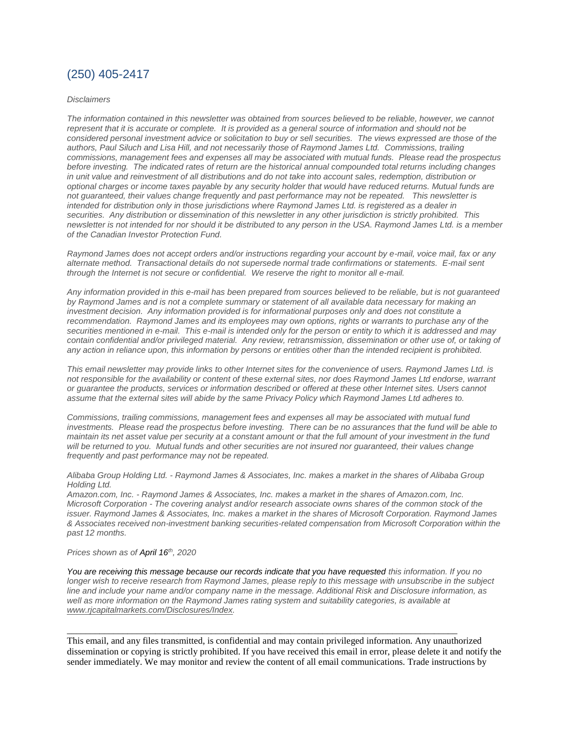#### (250) 405-2417

#### *Disclaimers*

*[The information contained in this newsletter was obtained from sources believed to be reliable, however, we cannot](https://owa-kel.raymondjames.ca/owa/redir.aspx?SURL=z0BxOCXDlQ-Aad1f_a9igaARxm5Rd1VXE7UcmD4mZ3IZiacj7DPTCG0AYQBpAGwAdABvADoAcABhAHUAbAAuAHMAaQBsAHUAYwBoAEAAcgBhAHkAbQBvAG4AZABqAGEAbQBlAHMALgBjAGEA&URL=mailto%3apaul.siluch%40raymondjames.ca)  represent that it is accurate or complete. [It is provided as a general source of information and should not be](https://owa-kel.raymondjames.ca/owa/redir.aspx?SURL=z0BxOCXDlQ-Aad1f_a9igaARxm5Rd1VXE7UcmD4mZ3IZiacj7DPTCG0AYQBpAGwAdABvADoAcABhAHUAbAAuAHMAaQBsAHUAYwBoAEAAcgBhAHkAbQBvAG4AZABqAGEAbQBlAHMALgBjAGEA&URL=mailto%3apaul.siluch%40raymondjames.ca)  [considered personal investment advice or solicitation to buy or sell securities.](https://owa-kel.raymondjames.ca/owa/redir.aspx?SURL=z0BxOCXDlQ-Aad1f_a9igaARxm5Rd1VXE7UcmD4mZ3IZiacj7DPTCG0AYQBpAGwAdABvADoAcABhAHUAbAAuAHMAaQBsAHUAYwBoAEAAcgBhAHkAbQBvAG4AZABqAGEAbQBlAHMALgBjAGEA&URL=mailto%3apaul.siluch%40raymondjames.ca) The views expressed are those of the [authors, Paul Siluch and Lisa Hill, and not necessarily those of Raymond James Ltd.](https://owa-kel.raymondjames.ca/owa/redir.aspx?SURL=z0BxOCXDlQ-Aad1f_a9igaARxm5Rd1VXE7UcmD4mZ3IZiacj7DPTCG0AYQBpAGwAdABvADoAcABhAHUAbAAuAHMAaQBsAHUAYwBoAEAAcgBhAHkAbQBvAG4AZABqAGEAbQBlAHMALgBjAGEA&URL=mailto%3apaul.siluch%40raymondjames.ca) Commissions, trailing [commissions, management fees and expenses all may be associated with mutual funds.](https://owa-kel.raymondjames.ca/owa/redir.aspx?SURL=z0BxOCXDlQ-Aad1f_a9igaARxm5Rd1VXE7UcmD4mZ3IZiacj7DPTCG0AYQBpAGwAdABvADoAcABhAHUAbAAuAHMAaQBsAHUAYwBoAEAAcgBhAHkAbQBvAG4AZABqAGEAbQBlAHMALgBjAGEA&URL=mailto%3apaul.siluch%40raymondjames.ca) Please read the prospectus before investing. [The indicated rates of return are the historical annual compounded total returns including changes](https://owa-kel.raymondjames.ca/owa/redir.aspx?SURL=z0BxOCXDlQ-Aad1f_a9igaARxm5Rd1VXE7UcmD4mZ3IZiacj7DPTCG0AYQBpAGwAdABvADoAcABhAHUAbAAuAHMAaQBsAHUAYwBoAEAAcgBhAHkAbQBvAG4AZABqAGEAbQBlAHMALgBjAGEA&URL=mailto%3apaul.siluch%40raymondjames.ca)  [in unit value and reinvestment of all distributions and do not take into account sales, redemption, distribution or](https://owa-kel.raymondjames.ca/owa/redir.aspx?SURL=z0BxOCXDlQ-Aad1f_a9igaARxm5Rd1VXE7UcmD4mZ3IZiacj7DPTCG0AYQBpAGwAdABvADoAcABhAHUAbAAuAHMAaQBsAHUAYwBoAEAAcgBhAHkAbQBvAG4AZABqAGEAbQBlAHMALgBjAGEA&URL=mailto%3apaul.siluch%40raymondjames.ca)  optional charges or income taxes payable by [any security holder that would have reduced returns. Mutual funds are](https://owa-kel.raymondjames.ca/owa/redir.aspx?SURL=z0BxOCXDlQ-Aad1f_a9igaARxm5Rd1VXE7UcmD4mZ3IZiacj7DPTCG0AYQBpAGwAdABvADoAcABhAHUAbAAuAHMAaQBsAHUAYwBoAEAAcgBhAHkAbQBvAG4AZABqAGEAbQBlAHMALgBjAGEA&URL=mailto%3apaul.siluch%40raymondjames.ca)  [not guaranteed, their values change frequently and past performance may not be repeated.](https://owa-kel.raymondjames.ca/owa/redir.aspx?SURL=z0BxOCXDlQ-Aad1f_a9igaARxm5Rd1VXE7UcmD4mZ3IZiacj7DPTCG0AYQBpAGwAdABvADoAcABhAHUAbAAuAHMAaQBsAHUAYwBoAEAAcgBhAHkAbQBvAG4AZABqAGEAbQBlAHMALgBjAGEA&URL=mailto%3apaul.siluch%40raymondjames.ca) This newsletter is [intended for distribution only in those jurisdictions where Raymond James Ltd. is registered as a dealer in](https://owa-kel.raymondjames.ca/owa/redir.aspx?SURL=z0BxOCXDlQ-Aad1f_a9igaARxm5Rd1VXE7UcmD4mZ3IZiacj7DPTCG0AYQBpAGwAdABvADoAcABhAHUAbAAuAHMAaQBsAHUAYwBoAEAAcgBhAHkAbQBvAG4AZABqAGEAbQBlAHMALgBjAGEA&URL=mailto%3apaul.siluch%40raymondjames.ca)  securities. [Any distribution or dissemination of this newsletter in any other jurisdiction is strictly prohibited.](https://owa-kel.raymondjames.ca/owa/redir.aspx?SURL=z0BxOCXDlQ-Aad1f_a9igaARxm5Rd1VXE7UcmD4mZ3IZiacj7DPTCG0AYQBpAGwAdABvADoAcABhAHUAbAAuAHMAaQBsAHUAYwBoAEAAcgBhAHkAbQBvAG4AZABqAGEAbQBlAHMALgBjAGEA&URL=mailto%3apaul.siluch%40raymondjames.ca) This [newsletter is not intended for nor should it be distributed to any person in the USA. Raymond James Ltd. is a member](https://owa-kel.raymondjames.ca/owa/redir.aspx?SURL=z0BxOCXDlQ-Aad1f_a9igaARxm5Rd1VXE7UcmD4mZ3IZiacj7DPTCG0AYQBpAGwAdABvADoAcABhAHUAbAAuAHMAaQBsAHUAYwBoAEAAcgBhAHkAbQBvAG4AZABqAGEAbQBlAHMALgBjAGEA&URL=mailto%3apaul.siluch%40raymondjames.ca)  [of the Canadian Investor Protection Fund.](https://owa-kel.raymondjames.ca/owa/redir.aspx?SURL=z0BxOCXDlQ-Aad1f_a9igaARxm5Rd1VXE7UcmD4mZ3IZiacj7DPTCG0AYQBpAGwAdABvADoAcABhAHUAbAAuAHMAaQBsAHUAYwBoAEAAcgBhAHkAbQBvAG4AZABqAGEAbQBlAHMALgBjAGEA&URL=mailto%3apaul.siluch%40raymondjames.ca)* 

*Raymond James [does not accept orders and/or instructions regarding your account by e-mail, voice mail, fax or any](https://owa-kel.raymondjames.ca/owa/redir.aspx?SURL=z0BxOCXDlQ-Aad1f_a9igaARxm5Rd1VXE7UcmD4mZ3IZiacj7DPTCG0AYQBpAGwAdABvADoAcABhAHUAbAAuAHMAaQBsAHUAYwBoAEAAcgBhAHkAbQBvAG4AZABqAGEAbQBlAHMALgBjAGEA&URL=mailto%3apaul.siluch%40raymondjames.ca)  alternate method. [Transactional details do not supersede normal trade confirmations or statements.](https://owa-kel.raymondjames.ca/owa/redir.aspx?SURL=z0BxOCXDlQ-Aad1f_a9igaARxm5Rd1VXE7UcmD4mZ3IZiacj7DPTCG0AYQBpAGwAdABvADoAcABhAHUAbAAuAHMAaQBsAHUAYwBoAEAAcgBhAHkAbQBvAG4AZABqAGEAbQBlAHMALgBjAGEA&URL=mailto%3apaul.siluch%40raymondjames.ca) E-mail sent [through the Internet is not secure or confidential.](https://owa-kel.raymondjames.ca/owa/redir.aspx?SURL=z0BxOCXDlQ-Aad1f_a9igaARxm5Rd1VXE7UcmD4mZ3IZiacj7DPTCG0AYQBpAGwAdABvADoAcABhAHUAbAAuAHMAaQBsAHUAYwBoAEAAcgBhAHkAbQBvAG4AZABqAGEAbQBlAHMALgBjAGEA&URL=mailto%3apaul.siluch%40raymondjames.ca) We reserve the right to monitor all e-mail.*

*[Any information provided in this e-mail has been prepared from sources believed to be reliable, but is not guaranteed](https://owa-kel.raymondjames.ca/owa/redir.aspx?SURL=z0BxOCXDlQ-Aad1f_a9igaARxm5Rd1VXE7UcmD4mZ3IZiacj7DPTCG0AYQBpAGwAdABvADoAcABhAHUAbAAuAHMAaQBsAHUAYwBoAEAAcgBhAHkAbQBvAG4AZABqAGEAbQBlAHMALgBjAGEA&URL=mailto%3apaul.siluch%40raymondjames.ca)  by Raymond James [and is not a complete summary or statement of all available data necessary for making an](https://owa-kel.raymondjames.ca/owa/redir.aspx?SURL=z0BxOCXDlQ-Aad1f_a9igaARxm5Rd1VXE7UcmD4mZ3IZiacj7DPTCG0AYQBpAGwAdABvADoAcABhAHUAbAAuAHMAaQBsAHUAYwBoAEAAcgBhAHkAbQBvAG4AZABqAGEAbQBlAHMALgBjAGEA&URL=mailto%3apaul.siluch%40raymondjames.ca)  investment decision. [Any information provided is for informational purposes only and does not constitute a](https://owa-kel.raymondjames.ca/owa/redir.aspx?SURL=z0BxOCXDlQ-Aad1f_a9igaARxm5Rd1VXE7UcmD4mZ3IZiacj7DPTCG0AYQBpAGwAdABvADoAcABhAHUAbAAuAHMAaQBsAHUAYwBoAEAAcgBhAHkAbQBvAG4AZABqAGEAbQBlAHMALgBjAGEA&URL=mailto%3apaul.siluch%40raymondjames.ca)  recommendation. Raymond James [and its employees may own options, rights or warrants to purchase any of the](https://owa-kel.raymondjames.ca/owa/redir.aspx?SURL=z0BxOCXDlQ-Aad1f_a9igaARxm5Rd1VXE7UcmD4mZ3IZiacj7DPTCG0AYQBpAGwAdABvADoAcABhAHUAbAAuAHMAaQBsAHUAYwBoAEAAcgBhAHkAbQBvAG4AZABqAGEAbQBlAHMALgBjAGEA&URL=mailto%3apaul.siluch%40raymondjames.ca)  securities mentioned in e-mail. [This e-mail is intended only for the person or entity to which it is addressed and may](https://owa-kel.raymondjames.ca/owa/redir.aspx?SURL=z0BxOCXDlQ-Aad1f_a9igaARxm5Rd1VXE7UcmD4mZ3IZiacj7DPTCG0AYQBpAGwAdABvADoAcABhAHUAbAAuAHMAaQBsAHUAYwBoAEAAcgBhAHkAbQBvAG4AZABqAGEAbQBlAHMALgBjAGEA&URL=mailto%3apaul.siluch%40raymondjames.ca)  contain confidential and/or privileged material. [Any review, retransmission, dissemination or other use of, or taking of](https://owa-kel.raymondjames.ca/owa/redir.aspx?SURL=z0BxOCXDlQ-Aad1f_a9igaARxm5Rd1VXE7UcmD4mZ3IZiacj7DPTCG0AYQBpAGwAdABvADoAcABhAHUAbAAuAHMAaQBsAHUAYwBoAEAAcgBhAHkAbQBvAG4AZABqAGEAbQBlAHMALgBjAGEA&URL=mailto%3apaul.siluch%40raymondjames.ca)  [any action in reliance upon, this information by persons or entities other than the intended recipient is prohibited.](https://owa-kel.raymondjames.ca/owa/redir.aspx?SURL=z0BxOCXDlQ-Aad1f_a9igaARxm5Rd1VXE7UcmD4mZ3IZiacj7DPTCG0AYQBpAGwAdABvADoAcABhAHUAbAAuAHMAaQBsAHUAYwBoAEAAcgBhAHkAbQBvAG4AZABqAGEAbQBlAHMALgBjAGEA&URL=mailto%3apaul.siluch%40raymondjames.ca)*

*This email newsletter may provide links to other Internet sites for the convenience of users. Raymond James Ltd. is not responsible for the availability or content of these external sites, nor does Raymond James Ltd endorse, warrant or guarantee the products, services or information described or offered at these other Internet sites. Users cannot assume that the external sites will abide by the same Privacy Policy which Raymond James Ltd adheres to.*

*Commissions, trailing commissions, management fees and expenses all may be associated with mutual fund investments. Please read the prospectus before investing. There can be no assurances that the fund will be able to maintain its net asset value per security at a constant amount or that the full amount of your investment in the fund will be returned to you. Mutual funds and other securities are not insured nor guaranteed, their values change frequently and past performance may not be repeated.*

*Alibaba Group Holding Ltd. - Raymond James & Associates, Inc. makes a market in the shares of Alibaba Group Holding Ltd.*

*Amazon.com, Inc. - Raymond James & Associates, Inc. makes a market in the shares of Amazon.com, Inc. Microsoft Corporation - The covering analyst and/or research associate owns shares of the common stock of the issuer. Raymond James & Associates, Inc. makes a market in the shares of Microsoft Corporation. Raymond James & Associates received non-investment banking securities-related compensation from Microsoft Corporation within the past 12 months.*

#### *Prices shown as of April 16th, 2020*

*You are receiving this message because our records indicate that you have requested this information. If you no longer wish to receive research from Raymond James, please reply to this message with unsubscribe in the subject line and include your name and/or company name in the message. Additional Risk and Disclosure information, as well as more information on the Raymond James rating system and suitability categories, is available at [www.rjcapitalmarkets.com/Disclosures/Index.](https://owa-kel.raymondjames.ca/owa/redir.aspx?SURL=xhOB4gpVfLOskwdkUL9L2f18Fq4IG2rgvMfuIIX7BlwZiacj7DPTCGgAdAB0AHAAOgAvAC8AdwB3AHcALgByAGoAYwBhAHAAaQB0AGEAbABtAGEAcgBrAGUAdABzAC4AYwBvAG0ALwBEAGkAcwBjAGwAbwBzAHUAcgBlAHMALwBJAG4AZABlAHgA&URL=http%3a%2f%2fwww.rjcapitalmarkets.com%2fDisclosures%2fIndex)*

This email, and any files transmitted, is confidential and may contain privileged information. Any unauthorized dissemination or copying is strictly prohibited. If you have received this email in error, please delete it and notify the sender immediately. We may monitor and review the content of all email communications. Trade instructions by

\_\_\_\_\_\_\_\_\_\_\_\_\_\_\_\_\_\_\_\_\_\_\_\_\_\_\_\_\_\_\_\_\_\_\_\_\_\_\_\_\_\_\_\_\_\_\_\_\_\_\_\_\_\_\_\_\_\_\_\_\_\_\_\_\_\_\_\_\_\_\_\_\_\_\_\_\_\_\_\_\_\_\_\_